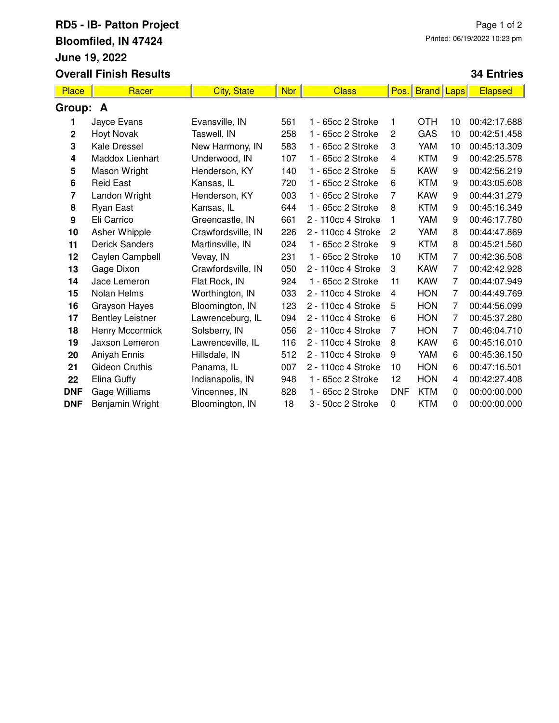## **RD5 - IB- Patton Project Bloomfiled, IN 47424 June 19, 2022 Overall Finish Results**

## **34 Entries**

| <b>Place</b> | Racer                   | <b>City, State</b> | <b>Nbr</b> | <b>Class</b>       | Pos.           | <b>Brand</b> Laps |                | <b>Elapsed</b> |
|--------------|-------------------------|--------------------|------------|--------------------|----------------|-------------------|----------------|----------------|
| Group:       | A                       |                    |            |                    |                |                   |                |                |
| 1            | Jayce Evans             | Evansville, IN     | 561        | 1 - 65cc 2 Stroke  | 1              | OTH               | 10             | 00:42:17.688   |
| 2            | <b>Hoyt Novak</b>       | Taswell, IN        | 258        | 1 - 65cc 2 Stroke  | 2              | GAS               | 10             | 00:42:51.458   |
| 3            | Kale Dressel            | New Harmony, IN    | 583        | 1 - 65cc 2 Stroke  | 3              | <b>YAM</b>        | 10             | 00:45:13.309   |
| 4            | Maddox Lienhart         | Underwood, IN      | 107        | 1 - 65cc 2 Stroke  | 4              | <b>KTM</b>        | 9              | 00:42:25.578   |
| 5            | Mason Wright            | Henderson, KY      | 140        | 1 - 65cc 2 Stroke  | 5              | <b>KAW</b>        | 9              | 00:42:56.219   |
| 6            | <b>Reid East</b>        | Kansas, IL         | 720        | 1 - 65cc 2 Stroke  | 6              | <b>KTM</b>        | 9              | 00:43:05.608   |
| 7            | Landon Wright           | Henderson, KY      | 003        | 1 - 65cc 2 Stroke  | 7              | <b>KAW</b>        | 9              | 00:44:31.279   |
| 8            | <b>Ryan East</b>        | Kansas, IL         | 644        | 1 - 65cc 2 Stroke  | 8              | <b>KTM</b>        | 9              | 00:45:16.349   |
| 9            | Eli Carrico             | Greencastle, IN    | 661        | 2 - 110cc 4 Stroke | 1              | <b>YAM</b>        | 9              | 00:46:17.780   |
| 10           | Asher Whipple           | Crawfordsville, IN | 226        | 2 - 110cc 4 Stroke | $\overline{c}$ | YAM               | 8              | 00:44:47.869   |
| 11           | <b>Derick Sanders</b>   | Martinsville, IN   | 024        | 1 - 65cc 2 Stroke  | 9              | <b>KTM</b>        | 8              | 00:45:21.560   |
| 12           | Caylen Campbell         | Vevay, IN          | 231        | 1 - 65cc 2 Stroke  | 10             | <b>KTM</b>        | 7              | 00:42:36.508   |
| 13           | Gage Dixon              | Crawfordsville, IN | 050        | 2 - 110cc 4 Stroke | 3              | <b>KAW</b>        | 7              | 00:42:42.928   |
| 14           | Jace Lemeron            | Flat Rock, IN      | 924        | 1 - 65cc 2 Stroke  | 11             | <b>KAW</b>        | 7              | 00:44:07.949   |
| 15           | Nolan Helms             | Worthington, IN    | 033        | 2 - 110cc 4 Stroke | 4              | <b>HON</b>        | 7              | 00:44:49.769   |
| 16           | <b>Grayson Hayes</b>    | Bloomington, IN    | 123        | 2 - 110cc 4 Stroke | 5              | <b>HON</b>        | 7              | 00:44:56.099   |
| 17           | <b>Bentley Leistner</b> | Lawrenceburg, IL   | 094        | 2 - 110cc 4 Stroke | 6              | <b>HON</b>        | $\overline{7}$ | 00:45:37.280   |
| 18           | Henry Mccormick         | Solsberry, IN      | 056        | 2 - 110cc 4 Stroke | 7              | <b>HON</b>        | 7              | 00:46:04.710   |
| 19           | Jaxson Lemeron          | Lawrenceville, IL  | 116        | 2 - 110cc 4 Stroke | 8              | <b>KAW</b>        | 6              | 00:45:16.010   |
| 20           | Aniyah Ennis            | Hillsdale, IN      | 512        | 2 - 110cc 4 Stroke | 9              | YAM               | 6              | 00:45:36.150   |
| 21           | Gideon Cruthis          | Panama, IL         | 007        | 2 - 110cc 4 Stroke | 10             | <b>HON</b>        | 6              | 00:47:16.501   |
| 22           | Elina Guffy             | Indianapolis, IN   | 948        | 1 - 65cc 2 Stroke  | 12             | <b>HON</b>        | 4              | 00:42:27.408   |
| <b>DNF</b>   | Gage Williams           | Vincennes, IN      | 828        | 1 - 65cc 2 Stroke  | <b>DNF</b>     | <b>KTM</b>        | 0              | 00:00:00.000   |
| <b>DNF</b>   | Benjamin Wright         | Bloomington, IN    | 18         | 3 - 50cc 2 Stroke  | 0              | <b>KTM</b>        | 0              | 00:00:00.000   |